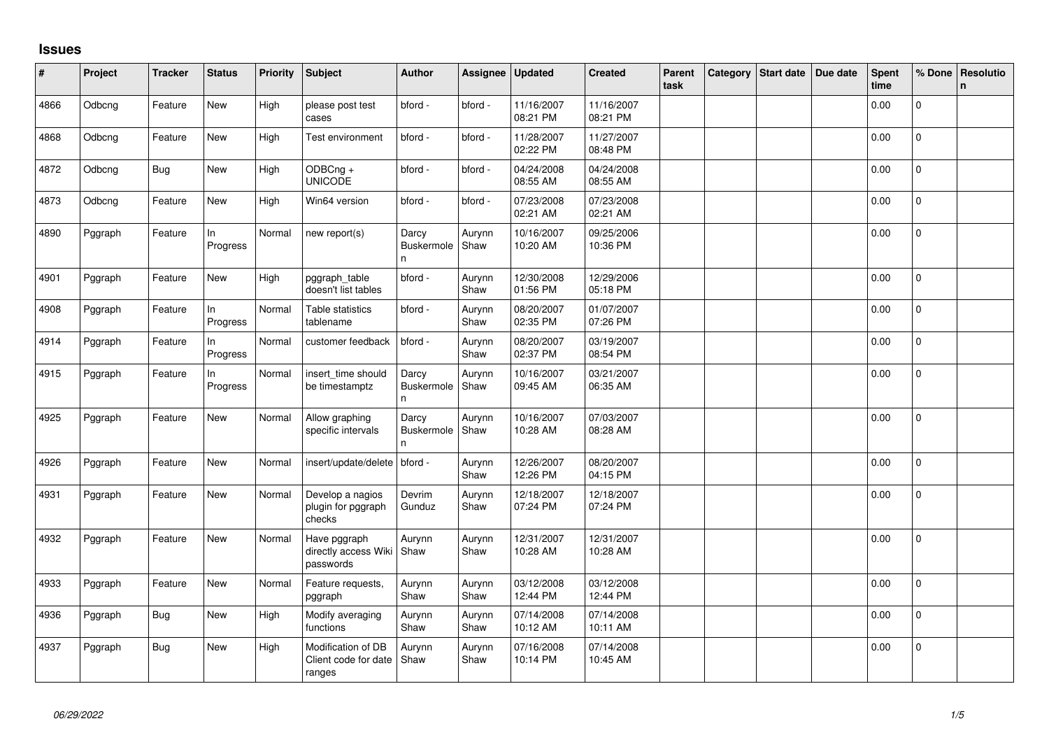## **Issues**

| #    | Project | <b>Tracker</b> | <b>Status</b>   | Priority | <b>Subject</b>                                       | <b>Author</b>                    | Assignee       | Updated                | <b>Created</b>         | Parent<br>task | Category Start date | Due date | <b>Spent</b><br>time | % Done         | Resolutio<br>$\mathsf{n}$ |
|------|---------|----------------|-----------------|----------|------------------------------------------------------|----------------------------------|----------------|------------------------|------------------------|----------------|---------------------|----------|----------------------|----------------|---------------------------|
| 4866 | Odbcng  | Feature        | New             | High     | please post test<br>cases                            | bford -                          | bford -        | 11/16/2007<br>08:21 PM | 11/16/2007<br>08:21 PM |                |                     |          | 0.00                 | $\overline{0}$ |                           |
| 4868 | Odbcng  | Feature        | New             | High     | Test environment                                     | bford -                          | bford -        | 11/28/2007<br>02:22 PM | 11/27/2007<br>08:48 PM |                |                     |          | 0.00                 | $\mathbf{0}$   |                           |
| 4872 | Odbcng  | <b>Bug</b>     | New             | High     | ODBCng +<br><b>UNICODE</b>                           | bford -                          | bford -        | 04/24/2008<br>08:55 AM | 04/24/2008<br>08:55 AM |                |                     |          | 0.00                 | $\mathbf 0$    |                           |
| 4873 | Odbcng  | Feature        | New             | High     | Win64 version                                        | bford -                          | bford -        | 07/23/2008<br>02:21 AM | 07/23/2008<br>02:21 AM |                |                     |          | 0.00                 | $\mathbf 0$    |                           |
| 4890 | Pggraph | Feature        | In<br>Progress  | Normal   | new report(s)                                        | Darcy<br><b>Buskermole</b><br>n  | Aurynn<br>Shaw | 10/16/2007<br>10:20 AM | 09/25/2006<br>10:36 PM |                |                     |          | 0.00                 | 0              |                           |
| 4901 | Pggraph | Feature        | New             | High     | pggraph_table<br>doesn't list tables                 | bford -                          | Aurynn<br>Shaw | 12/30/2008<br>01:56 PM | 12/29/2006<br>05:18 PM |                |                     |          | 0.00                 | $\Omega$       |                           |
| 4908 | Pggraph | Feature        | In<br>Progress  | Normal   | Table statistics<br>tablename                        | bford -                          | Aurynn<br>Shaw | 08/20/2007<br>02:35 PM | 01/07/2007<br>07:26 PM |                |                     |          | 0.00                 | $\mathbf 0$    |                           |
| 4914 | Pggraph | Feature        | In.<br>Progress | Normal   | customer feedback                                    | bford -                          | Aurynn<br>Shaw | 08/20/2007<br>02:37 PM | 03/19/2007<br>08:54 PM |                |                     |          | 0.00                 | $\mathbf 0$    |                           |
| 4915 | Pggraph | Feature        | In<br>Progress  | Normal   | insert_time should<br>be timestamptz                 | Darcy<br><b>Buskermole</b><br>n. | Aurynn<br>Shaw | 10/16/2007<br>09:45 AM | 03/21/2007<br>06:35 AM |                |                     |          | 0.00                 | $\mathbf 0$    |                           |
| 4925 | Pggraph | Feature        | New             | Normal   | Allow graphing<br>specific intervals                 | Darcy<br>Buskermole<br>n         | Aurynn<br>Shaw | 10/16/2007<br>10:28 AM | 07/03/2007<br>08:28 AM |                |                     |          | 0.00                 | $\overline{0}$ |                           |
| 4926 | Pggraph | Feature        | New             | Normal   | insert/update/delete                                 | bford -                          | Aurynn<br>Shaw | 12/26/2007<br>12:26 PM | 08/20/2007<br>04:15 PM |                |                     |          | 0.00                 | 0              |                           |
| 4931 | Pggraph | Feature        | New             | Normal   | Develop a nagios<br>plugin for pggraph<br>checks     | Devrim<br>Gunduz                 | Aurynn<br>Shaw | 12/18/2007<br>07:24 PM | 12/18/2007<br>07:24 PM |                |                     |          | 0.00                 | 0              |                           |
| 4932 | Pggraph | Feature        | New             | Normal   | Have pggraph<br>directly access Wiki<br>passwords    | Aurynn<br>Shaw                   | Aurynn<br>Shaw | 12/31/2007<br>10:28 AM | 12/31/2007<br>10:28 AM |                |                     |          | 0.00                 | $\pmb{0}$      |                           |
| 4933 | Pggraph | Feature        | <b>New</b>      | Normal   | Feature requests,<br>pggraph                         | Aurynn<br>Shaw                   | Aurynn<br>Shaw | 03/12/2008<br>12:44 PM | 03/12/2008<br>12:44 PM |                |                     |          | 0.00                 | $\Omega$       |                           |
| 4936 | Pggraph | Bug            | New             | High     | Modify averaging<br>functions                        | Aurynn<br>Shaw                   | Aurynn<br>Shaw | 07/14/2008<br>10:12 AM | 07/14/2008<br>10:11 AM |                |                     |          | 0.00                 | $\Omega$       |                           |
| 4937 | Pggraph | <b>Bug</b>     | New             | High     | Modification of DB<br>Client code for date<br>ranges | Aurynn<br>Shaw                   | Aurynn<br>Shaw | 07/16/2008<br>10:14 PM | 07/14/2008<br>10:45 AM |                |                     |          | 0.00                 | $\overline{0}$ |                           |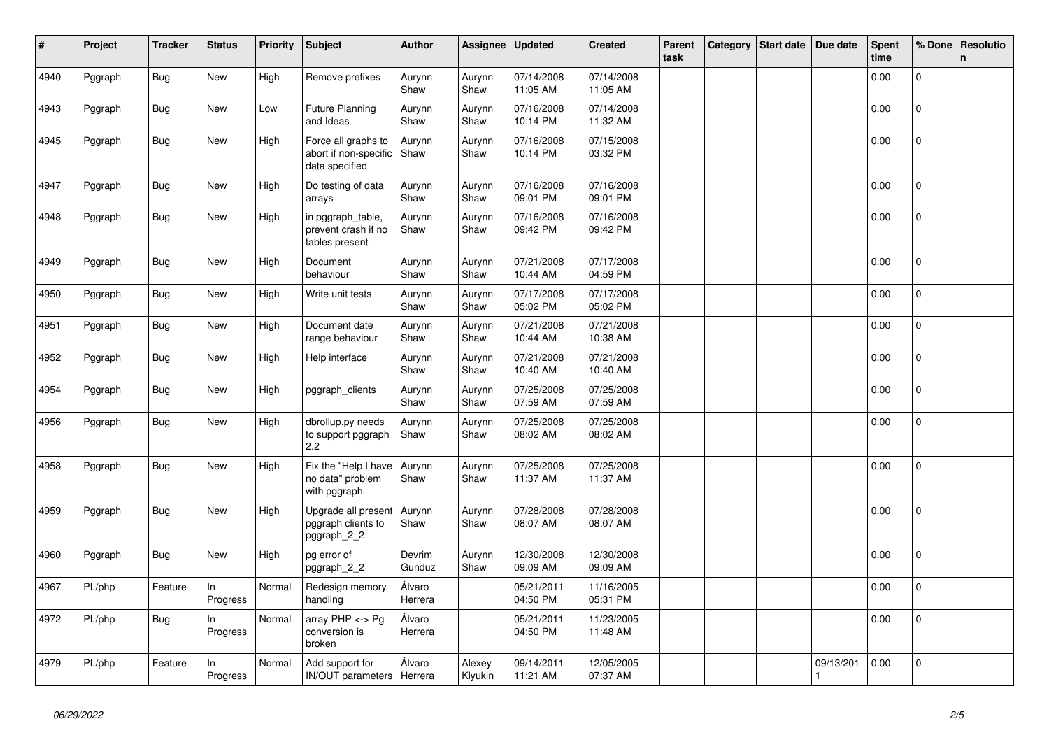| #    | Project | <b>Tracker</b> | <b>Status</b>   | <b>Priority</b> | <b>Subject</b>                                                 | <b>Author</b>     | Assignee          | <b>Updated</b>         | <b>Created</b>         | Parent<br>task | Category | <b>Start date</b> | Due date  | <b>Spent</b><br>time | % Done       | Resolutio<br>n |
|------|---------|----------------|-----------------|-----------------|----------------------------------------------------------------|-------------------|-------------------|------------------------|------------------------|----------------|----------|-------------------|-----------|----------------------|--------------|----------------|
| 4940 | Pggraph | <b>Bug</b>     | New             | High            | Remove prefixes                                                | Aurynn<br>Shaw    | Aurynn<br>Shaw    | 07/14/2008<br>11:05 AM | 07/14/2008<br>11:05 AM |                |          |                   |           | 0.00                 | $\mathbf{0}$ |                |
| 4943 | Pggraph | <b>Bug</b>     | <b>New</b>      | Low             | <b>Future Planning</b><br>and Ideas                            | Aurynn<br>Shaw    | Aurynn<br>Shaw    | 07/16/2008<br>10:14 PM | 07/14/2008<br>11:32 AM |                |          |                   |           | 0.00                 | $\mathbf{0}$ |                |
| 4945 | Pggraph | Bug            | New             | High            | Force all graphs to<br>abort if non-specific<br>data specified | Aurynn<br>Shaw    | Aurynn<br>Shaw    | 07/16/2008<br>10:14 PM | 07/15/2008<br>03:32 PM |                |          |                   |           | 0.00                 | $\mathbf{0}$ |                |
| 4947 | Pggraph | <b>Bug</b>     | New             | High            | Do testing of data<br>arrays                                   | Aurynn<br>Shaw    | Aurynn<br>Shaw    | 07/16/2008<br>09:01 PM | 07/16/2008<br>09:01 PM |                |          |                   |           | 0.00                 | $\mathbf{0}$ |                |
| 4948 | Pggraph | <b>Bug</b>     | New             | High            | in pggraph table,<br>prevent crash if no<br>tables present     | Aurynn<br>Shaw    | Aurynn<br>Shaw    | 07/16/2008<br>09:42 PM | 07/16/2008<br>09:42 PM |                |          |                   |           | 0.00                 | 0            |                |
| 4949 | Pggraph | <b>Bug</b>     | New             | High            | Document<br>behaviour                                          | Aurynn<br>Shaw    | Aurynn<br>Shaw    | 07/21/2008<br>10:44 AM | 07/17/2008<br>04:59 PM |                |          |                   |           | 0.00                 | $\Omega$     |                |
| 4950 | Pggraph | <b>Bug</b>     | <b>New</b>      | High            | Write unit tests                                               | Aurynn<br>Shaw    | Aurynn<br>Shaw    | 07/17/2008<br>05:02 PM | 07/17/2008<br>05:02 PM |                |          |                   |           | 0.00                 | $\mathbf 0$  |                |
| 4951 | Pggraph | <b>Bug</b>     | New             | High            | Document date<br>range behaviour                               | Aurynn<br>Shaw    | Aurynn<br>Shaw    | 07/21/2008<br>10:44 AM | 07/21/2008<br>10:38 AM |                |          |                   |           | 0.00                 | $\mathbf{0}$ |                |
| 4952 | Pggraph | <b>Bug</b>     | New             | High            | Help interface                                                 | Aurynn<br>Shaw    | Aurynn<br>Shaw    | 07/21/2008<br>10:40 AM | 07/21/2008<br>10:40 AM |                |          |                   |           | 0.00                 | $\Omega$     |                |
| 4954 | Pggraph | <b>Bug</b>     | <b>New</b>      | High            | pggraph_clients                                                | Aurynn<br>Shaw    | Aurynn<br>Shaw    | 07/25/2008<br>07:59 AM | 07/25/2008<br>07:59 AM |                |          |                   |           | 0.00                 | $\mathbf 0$  |                |
| 4956 | Pggraph | Bug            | New             | High            | dbrollup.py needs<br>to support pggraph<br>2.2                 | Aurynn<br>Shaw    | Aurynn<br>Shaw    | 07/25/2008<br>08:02 AM | 07/25/2008<br>08:02 AM |                |          |                   |           | 0.00                 | $\mathbf{0}$ |                |
| 4958 | Pggraph | <b>Bug</b>     | <b>New</b>      | High            | Fix the "Help I have<br>no data" problem<br>with pggraph.      | Aurynn<br>Shaw    | Aurynn<br>Shaw    | 07/25/2008<br>11:37 AM | 07/25/2008<br>11:37 AM |                |          |                   |           | 0.00                 | $\mathbf{0}$ |                |
| 4959 | Pggraph | Bug            | New             | High            | Upgrade all present<br>pggraph clients to<br>pggraph_2_2       | Aurynn<br>Shaw    | Aurynn<br>Shaw    | 07/28/2008<br>08:07 AM | 07/28/2008<br>08:07 AM |                |          |                   |           | 0.00                 | $\mathbf 0$  |                |
| 4960 | Pggraph | <b>Bug</b>     | <b>New</b>      | High            | pg error of<br>pggraph_2_2                                     | Devrim<br>Gunduz  | Aurynn<br>Shaw    | 12/30/2008<br>09:09 AM | 12/30/2008<br>09:09 AM |                |          |                   |           | 0.00                 | $\mathbf{0}$ |                |
| 4967 | PL/php  | Feature        | ln.<br>Progress | Normal          | Redesign memory<br>handling                                    | Álvaro<br>Herrera |                   | 05/21/2011<br>04:50 PM | 11/16/2005<br>05:31 PM |                |          |                   |           | 0.00                 | $\mathsf{O}$ |                |
| 4972 | PL/php  | <b>Bug</b>     | ln.<br>Progress | Normal          | array PHP <-> Pg<br>conversion is<br>broken                    | Álvaro<br>Herrera |                   | 05/21/2011<br>04:50 PM | 11/23/2005<br>11:48 AM |                |          |                   |           | 0.00                 | 0            |                |
| 4979 | PL/php  | Feature        | In<br>Progress  | Normal          | Add support for<br>IN/OUT parameters   Herrera                 | Álvaro            | Alexey<br>Klyukin | 09/14/2011<br>11:21 AM | 12/05/2005<br>07:37 AM |                |          |                   | 09/13/201 | 0.00                 | $\mathbf 0$  |                |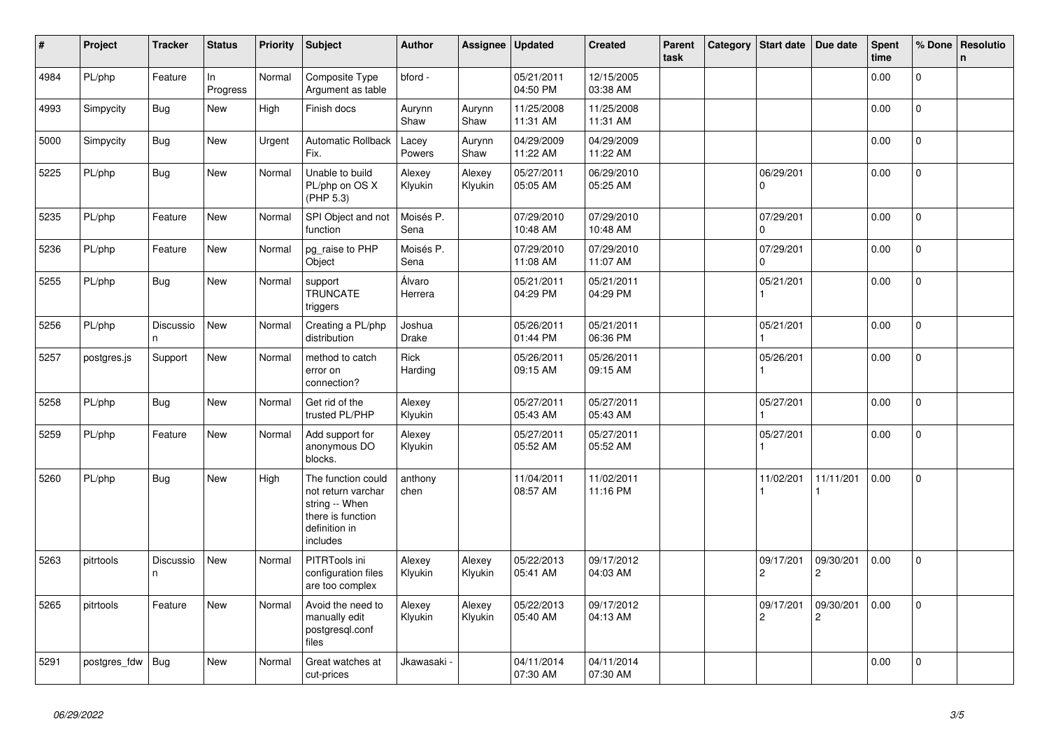| $\vert$ # | Project      | <b>Tracker</b>  | <b>Status</b>  | <b>Priority</b> | <b>Subject</b>                                                                                               | <b>Author</b>          | Assignee          | <b>Updated</b>         | <b>Created</b>         | Parent<br>task | Category | Start date                  | Due date                    | <b>Spent</b><br>time | % Done       | <b>Resolutio</b><br>n |
|-----------|--------------|-----------------|----------------|-----------------|--------------------------------------------------------------------------------------------------------------|------------------------|-------------------|------------------------|------------------------|----------------|----------|-----------------------------|-----------------------------|----------------------|--------------|-----------------------|
| 4984      | PL/php       | Feature         | ln<br>Progress | Normal          | Composite Type<br>Argument as table                                                                          | bford -                |                   | 05/21/2011<br>04:50 PM | 12/15/2005<br>03:38 AM |                |          |                             |                             | 0.00                 | $\Omega$     |                       |
| 4993      | Simpycity    | Bug             | New            | High            | Finish docs                                                                                                  | Aurynn<br>Shaw         | Aurynn<br>Shaw    | 11/25/2008<br>11:31 AM | 11/25/2008<br>11:31 AM |                |          |                             |                             | 0.00                 | $\mathbf 0$  |                       |
| 5000      | Simpycity    | <b>Bug</b>      | New            | Urgent          | <b>Automatic Rollback</b><br>Fix.                                                                            | Lacey<br>Powers        | Aurynn<br>Shaw    | 04/29/2009<br>11:22 AM | 04/29/2009<br>11:22 AM |                |          |                             |                             | 0.00                 | $\mathbf{0}$ |                       |
| 5225      | PL/php       | <b>Bug</b>      | <b>New</b>     | Normal          | Unable to build<br>PL/php on OS X<br>(PHP 5.3)                                                               | Alexey<br>Klyukin      | Alexey<br>Klyukin | 05/27/2011<br>05:05 AM | 06/29/2010<br>05:25 AM |                |          | 06/29/201<br>0              |                             | 0.00                 | $\Omega$     |                       |
| 5235      | PL/php       | Feature         | <b>New</b>     | Normal          | SPI Object and not<br>function                                                                               | Moisés P.<br>Sena      |                   | 07/29/2010<br>10:48 AM | 07/29/2010<br>10:48 AM |                |          | 07/29/201<br>0              |                             | 0.00                 | $\Omega$     |                       |
| 5236      | PL/php       | Feature         | New            | Normal          | pg_raise to PHP<br>Object                                                                                    | Moisés P.<br>Sena      |                   | 07/29/2010<br>11:08 AM | 07/29/2010<br>11:07 AM |                |          | 07/29/201<br>$\Omega$       |                             | 0.00                 | $\mathbf{0}$ |                       |
| 5255      | PL/php       | <b>Bug</b>      | New            | Normal          | support<br><b>TRUNCATE</b><br>triggers                                                                       | Álvaro<br>Herrera      |                   | 05/21/2011<br>04:29 PM | 05/21/2011<br>04:29 PM |                |          | 05/21/201                   |                             | 0.00                 | 0            |                       |
| 5256      | PL/php       | Discussio<br>n. | <b>New</b>     | Normal          | Creating a PL/php<br>distribution                                                                            | Joshua<br><b>Drake</b> |                   | 05/26/2011<br>01:44 PM | 05/21/2011<br>06:36 PM |                |          | 05/21/201                   |                             | 0.00                 | $\mathbf 0$  |                       |
| 5257      | postgres.js  | Support         | New            | Normal          | method to catch<br>error on<br>connection?                                                                   | Rick<br>Harding        |                   | 05/26/2011<br>09:15 AM | 05/26/2011<br>09:15 AM |                |          | 05/26/201                   |                             | 0.00                 | $\Omega$     |                       |
| 5258      | PL/php       | Bug             | New            | Normal          | Get rid of the<br>trusted PL/PHP                                                                             | Alexey<br>Klyukin      |                   | 05/27/2011<br>05:43 AM | 05/27/2011<br>05:43 AM |                |          | 05/27/201                   |                             | 0.00                 | 0            |                       |
| 5259      | PL/php       | Feature         | New            | Normal          | Add support for<br>anonymous DO<br>blocks.                                                                   | Alexey<br>Klyukin      |                   | 05/27/2011<br>05:52 AM | 05/27/2011<br>05:52 AM |                |          | 05/27/201                   |                             | 0.00                 | 0            |                       |
| 5260      | PL/php       | Bug             | New            | High            | The function could<br>not return varchar<br>string -- When<br>there is function<br>definition in<br>includes | anthony<br>chen        |                   | 11/04/2011<br>08:57 AM | 11/02/2011<br>11:16 PM |                |          | 11/02/201                   | 11/11/201                   | 0.00                 | 0            |                       |
| 5263      | pitrtools    | Discussio<br>n. | New            | Normal          | PITRTools ini<br>configuration files<br>are too complex                                                      | Alexey<br>Klyukin      | Alexey<br>Klyukin | 05/22/2013<br>05:41 AM | 09/17/2012<br>04:03 AM |                |          | 09/17/201<br>$\overline{c}$ | 09/30/201<br>$\overline{2}$ | 0.00                 | $\mathbf{0}$ |                       |
| 5265      | pitrtools    | Feature         | New            | Normal          | Avoid the need to<br>manually edit<br>postgresgl.conf<br>files                                               | Alexey<br>Klyukin      | Alexey<br>Klyukin | 05/22/2013<br>05:40 AM | 09/17/2012<br>04:13 AM |                |          | 09/17/201<br>$\overline{c}$ | 09/30/201<br>$\overline{2}$ | 0.00                 | $\mathbf 0$  |                       |
| 5291      | postgres fdw | Bug             | New            | Normal          | Great watches at<br>cut-prices                                                                               | Jkawasaki <sub>`</sub> |                   | 04/11/2014<br>07:30 AM | 04/11/2014<br>07:30 AM |                |          |                             |                             | 0.00                 | $\Omega$     |                       |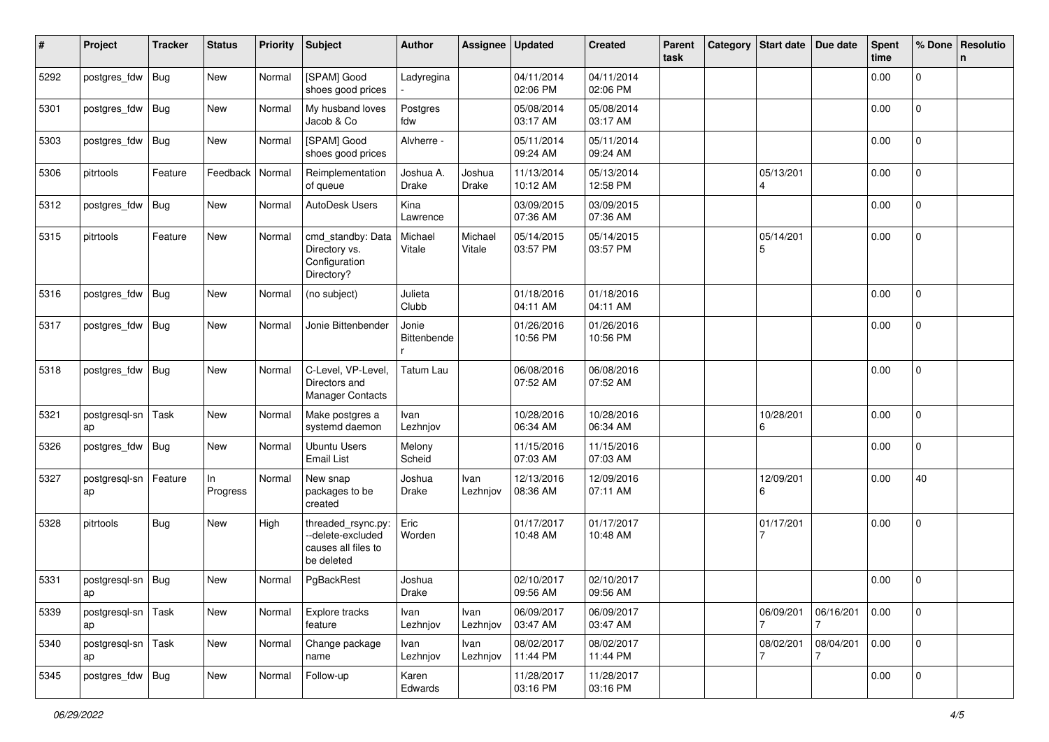| #    | Project             | <b>Tracker</b> | <b>Status</b>  | <b>Priority</b> | <b>Subject</b>                                                               | <b>Author</b>             | Assignee          | <b>Updated</b>         | <b>Created</b>         | Parent<br>task | Category Start date | Due date       | <b>Spent</b><br>time | % Done              | Resolutio<br>n |
|------|---------------------|----------------|----------------|-----------------|------------------------------------------------------------------------------|---------------------------|-------------------|------------------------|------------------------|----------------|---------------------|----------------|----------------------|---------------------|----------------|
| 5292 | postgres_fdw        | Bug            | New            | Normal          | [SPAM] Good<br>shoes good prices                                             | Ladyregina                |                   | 04/11/2014<br>02:06 PM | 04/11/2014<br>02:06 PM |                |                     |                | 0.00                 | 0                   |                |
| 5301 | postgres_fdw        | Bug            | New            | Normal          | My husband loves<br>Jacob & Co                                               | Postgres<br>fdw           |                   | 05/08/2014<br>03:17 AM | 05/08/2014<br>03:17 AM |                |                     |                | 0.00                 | 0                   |                |
| 5303 | postgres_fdw        | Bug            | New            | Normal          | [SPAM] Good<br>shoes good prices                                             | Alvherre -                |                   | 05/11/2014<br>09:24 AM | 05/11/2014<br>09:24 AM |                |                     |                | 0.00                 | 0                   |                |
| 5306 | pitrtools           | Feature        | Feedback       | Normal          | Reimplementation<br>of queue                                                 | Joshua A.<br><b>Drake</b> | Joshua<br>Drake   | 11/13/2014<br>10:12 AM | 05/13/2014<br>12:58 PM |                | 05/13/201<br>4      |                | 0.00                 | 0                   |                |
| 5312 | postgres_fdw        | <b>Bug</b>     | New            | Normal          | AutoDesk Users                                                               | Kina<br>Lawrence          |                   | 03/09/2015<br>07:36 AM | 03/09/2015<br>07:36 AM |                |                     |                | 0.00                 | $\Omega$            |                |
| 5315 | pitrtools           | Feature        | New            | Normal          | cmd_standby: Data<br>Directory vs.<br>Configuration<br>Directory?            | Michael<br>Vitale         | Michael<br>Vitale | 05/14/2015<br>03:57 PM | 05/14/2015<br>03:57 PM |                | 05/14/201<br>5      |                | 0.00                 | $\overline{0}$      |                |
| 5316 | postgres_fdw        | Bug            | <b>New</b>     | Normal          | (no subject)                                                                 | Julieta<br>Clubb          |                   | 01/18/2016<br>04:11 AM | 01/18/2016<br>04:11 AM |                |                     |                | 0.00                 | $\overline{0}$      |                |
| 5317 | postgres_fdw        | Bug            | New            | Normal          | Jonie Bittenbender                                                           | Jonie<br>Bittenbende      |                   | 01/26/2016<br>10:56 PM | 01/26/2016<br>10:56 PM |                |                     |                | 0.00                 | 0                   |                |
| 5318 | postgres_fdw        | Bug            | New            | Normal          | C-Level, VP-Level,<br>Directors and<br><b>Manager Contacts</b>               | <b>Tatum Lau</b>          |                   | 06/08/2016<br>07:52 AM | 06/08/2016<br>07:52 AM |                |                     |                | 0.00                 | $\Omega$            |                |
| 5321 | postgresql-sn<br>ap | Task           | New            | Normal          | Make postgres a<br>systemd daemon                                            | Ivan<br>Lezhnjov          |                   | 10/28/2016<br>06:34 AM | 10/28/2016<br>06:34 AM |                | 10/28/201<br>6      |                | 0.00                 | $\Omega$            |                |
| 5326 | postgres_fdw        | Bug            | New            | Normal          | <b>Ubuntu Users</b><br><b>Email List</b>                                     | Melony<br>Scheid          |                   | 11/15/2016<br>07:03 AM | 11/15/2016<br>07:03 AM |                |                     |                | 0.00                 | 0                   |                |
| 5327 | postgresql-sn<br>ap | Feature        | In<br>Progress | Normal          | New snap<br>packages to be<br>created                                        | Joshua<br>Drake           | Ivan<br>Lezhnjov  | 12/13/2016<br>08:36 AM | 12/09/2016<br>07:11 AM |                | 12/09/201<br>6      |                | 0.00                 | 40                  |                |
| 5328 | pitrtools           | Bug            | New            | High            | threaded_rsync.py:<br>--delete-excluded<br>causes all files to<br>be deleted | Eric<br>Worden            |                   | 01/17/2017<br>10:48 AM | 01/17/2017<br>10:48 AM |                | 01/17/201           |                | 0.00                 | 0                   |                |
| 5331 | postgresql-sn       | Bug            | New            | Normal          | PgBackRest                                                                   | Joshua<br>Drake           |                   | 02/10/2017<br>09:56 AM | 02/10/2017<br>09:56 AM |                |                     |                | 0.00                 | 0                   |                |
| 5339 | postgresql-sn<br>ap | Task           | New            | Normal          | Explore tracks<br>feature                                                    | Ivan<br>Lezhnjov          | Ivan<br>Lezhnjov  | 06/09/2017<br>03:47 AM | 06/09/2017<br>03:47 AM |                | 06/09/201           | 06/16/201<br>7 | 0.00                 | $\mathbf{0}$        |                |
| 5340 | postgresql-sn<br>ap | Task           | New            | Normal          | Change package<br>name                                                       | Ivan<br>Lezhnjov          | Ivan<br>Lezhnjov  | 08/02/2017<br>11:44 PM | 08/02/2017<br>11:44 PM |                | 08/02/201<br>7      | 08/04/201<br>7 | 0.00                 | $\mathsf{O}\xspace$ |                |
| 5345 | postgres_fdw Bug    |                | New            | Normal          | Follow-up                                                                    | Karen<br>Edwards          |                   | 11/28/2017<br>03:16 PM | 11/28/2017<br>03:16 PM |                |                     |                | 0.00                 | 0                   |                |